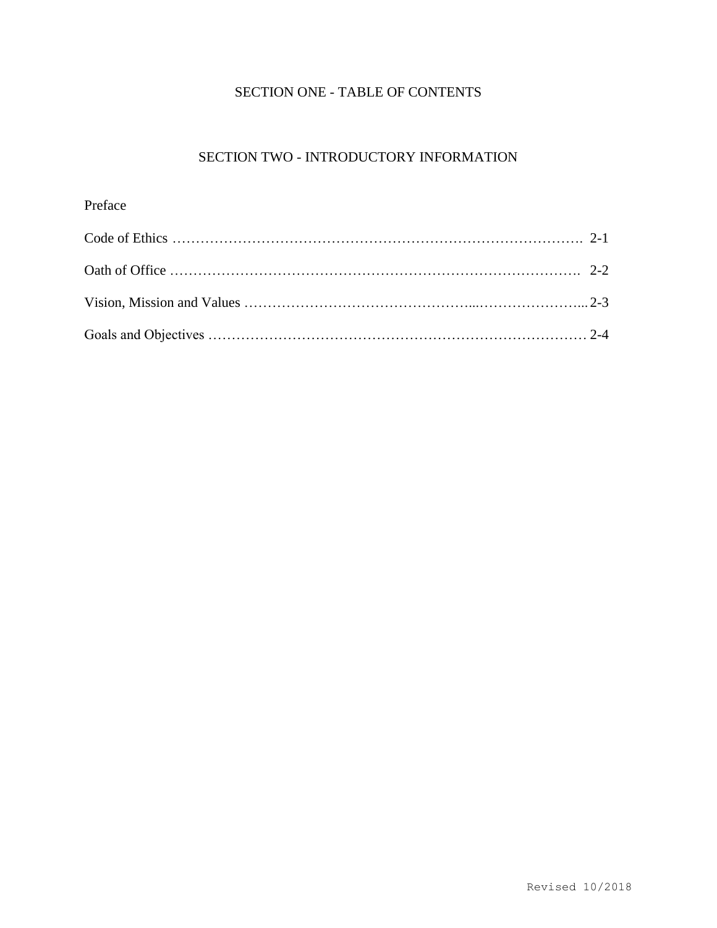## SECTION ONE - TABLE OF CONTENTS

# SECTION TWO - INTRODUCTORY INFORMATION

# Preface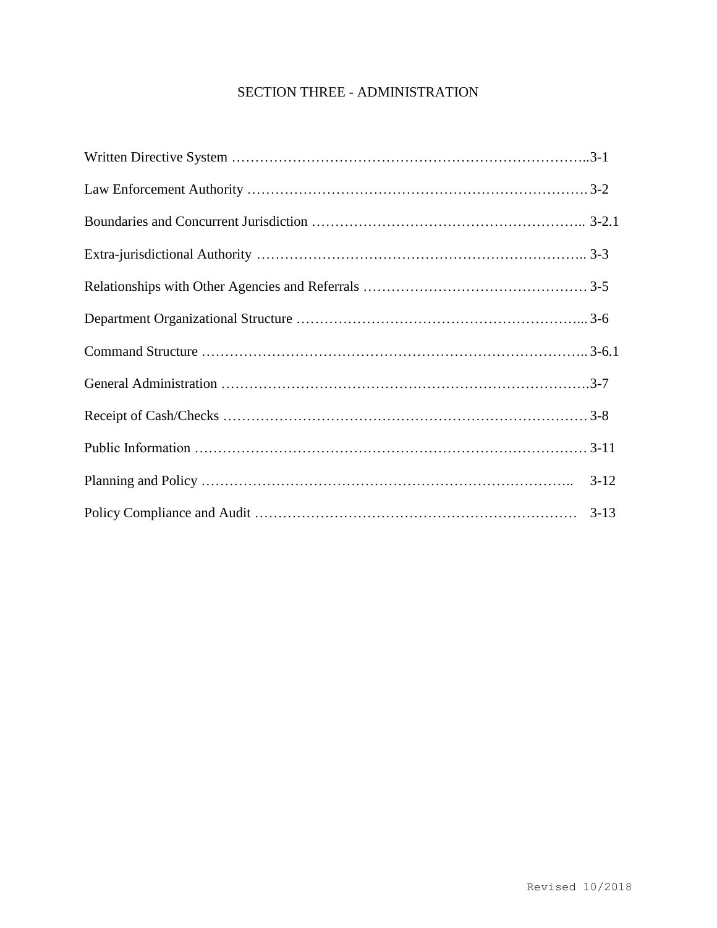## SECTION THREE - ADMINISTRATION

| $3-12$ |
|--------|
|        |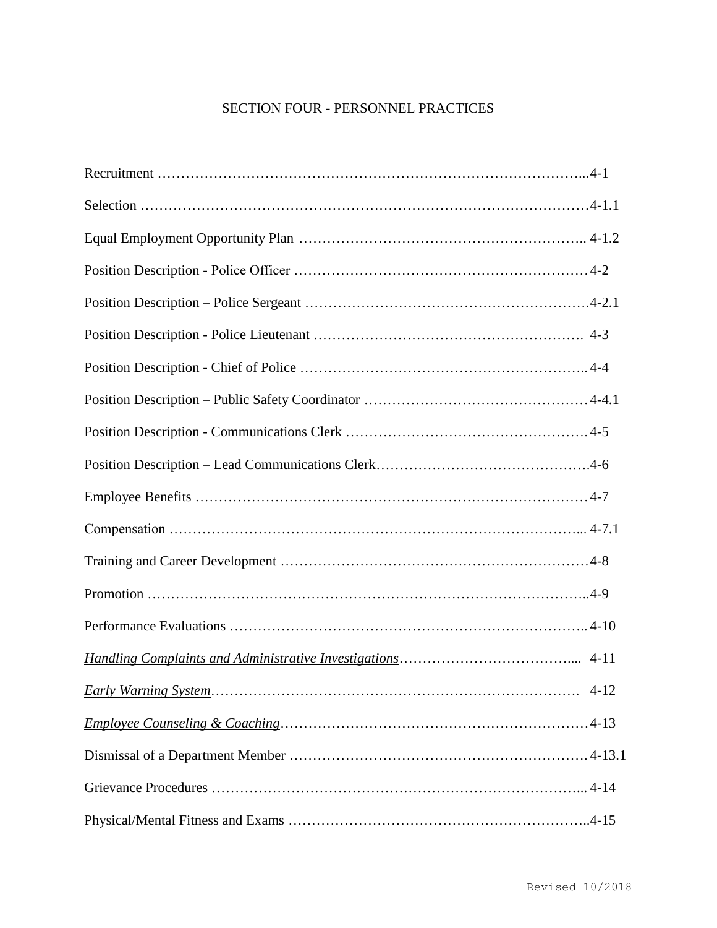# SECTION FOUR - PERSONNEL PRACTICES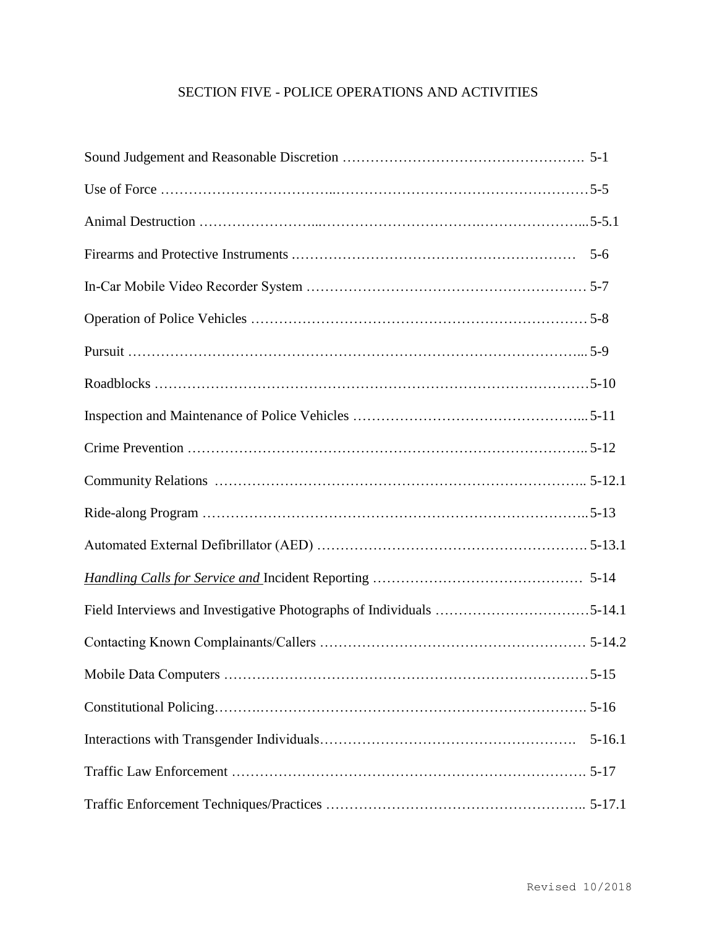# SECTION FIVE - POLICE OPERATIONS AND ACTIVITIES

| Field Interviews and Investigative Photographs of Individuals 5-14.1 |            |
|----------------------------------------------------------------------|------------|
|                                                                      |            |
|                                                                      |            |
|                                                                      |            |
|                                                                      | $5 - 16.1$ |
|                                                                      |            |
|                                                                      |            |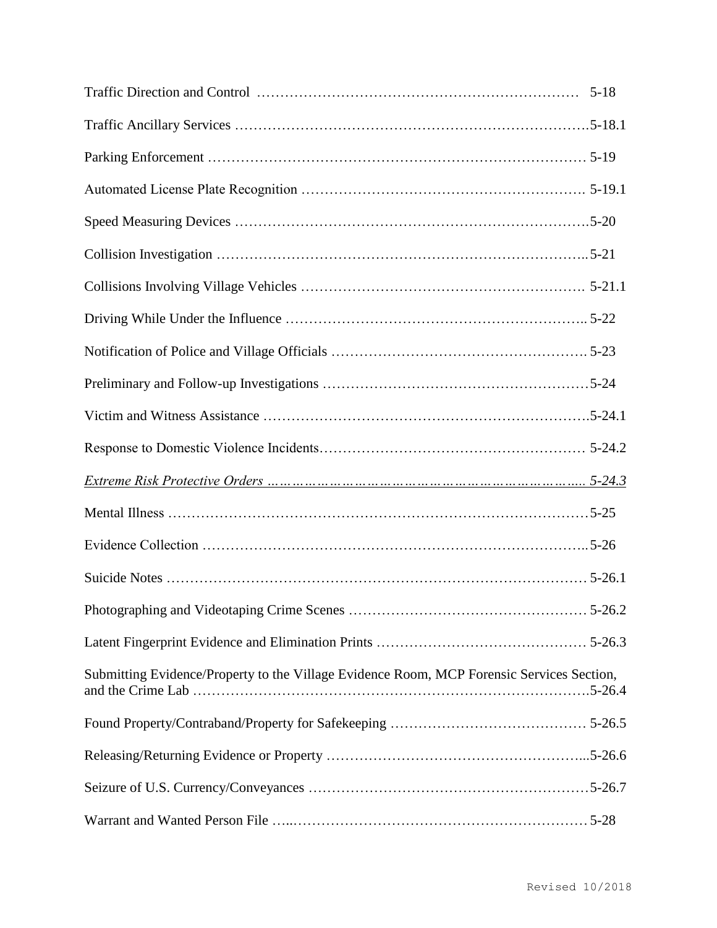| Submitting Evidence/Property to the Village Evidence Room, MCP Forensic Services Section, |  |
|-------------------------------------------------------------------------------------------|--|
|                                                                                           |  |
|                                                                                           |  |
|                                                                                           |  |
|                                                                                           |  |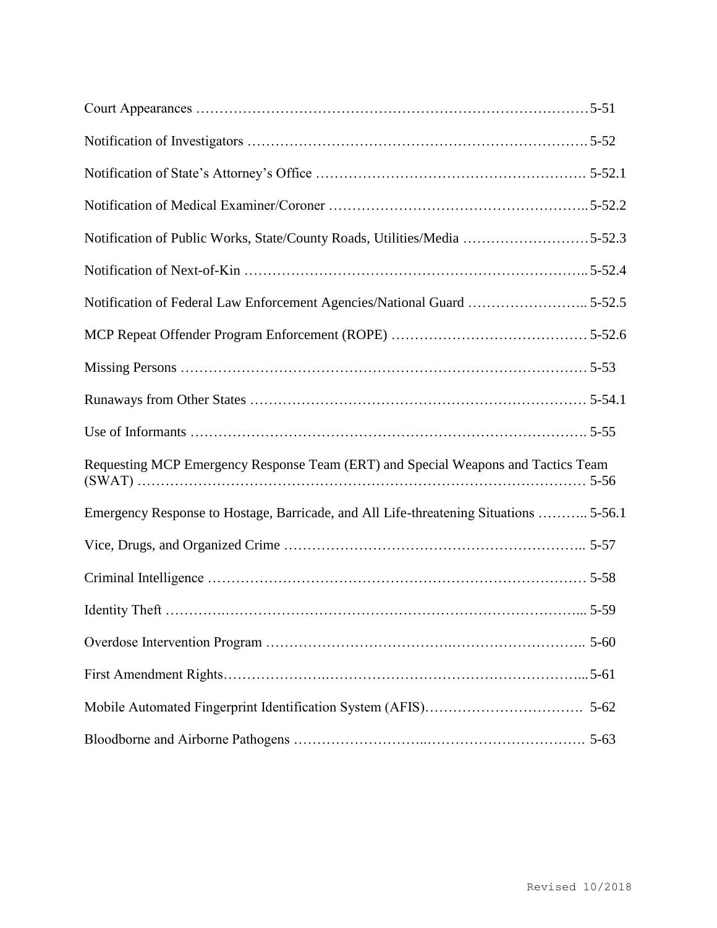| Notification of Public Works, State/County Roads, Utilities/Media 5-52.3              |          |
|---------------------------------------------------------------------------------------|----------|
|                                                                                       |          |
|                                                                                       |          |
|                                                                                       |          |
|                                                                                       |          |
|                                                                                       |          |
|                                                                                       |          |
| Requesting MCP Emergency Response Team (ERT) and Special Weapons and Tactics Team     |          |
| Emergency Response to Hostage, Barricade, and All Life-threatening Situations  5-56.1 |          |
|                                                                                       |          |
|                                                                                       |          |
|                                                                                       |          |
|                                                                                       |          |
|                                                                                       |          |
|                                                                                       | $5 - 62$ |
|                                                                                       |          |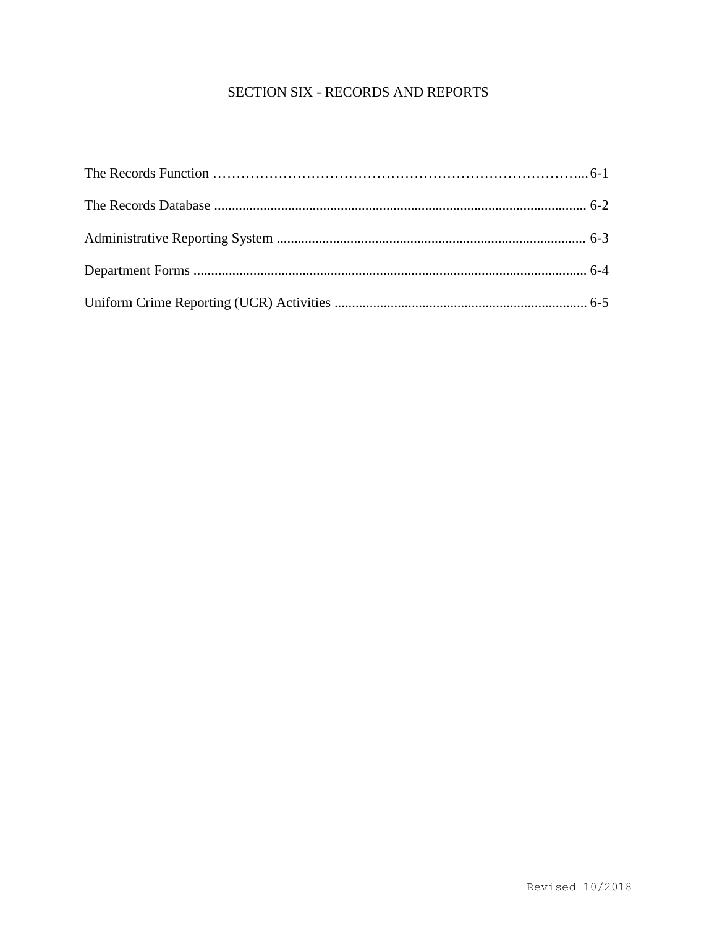# SECTION SIX - RECORDS AND REPORTS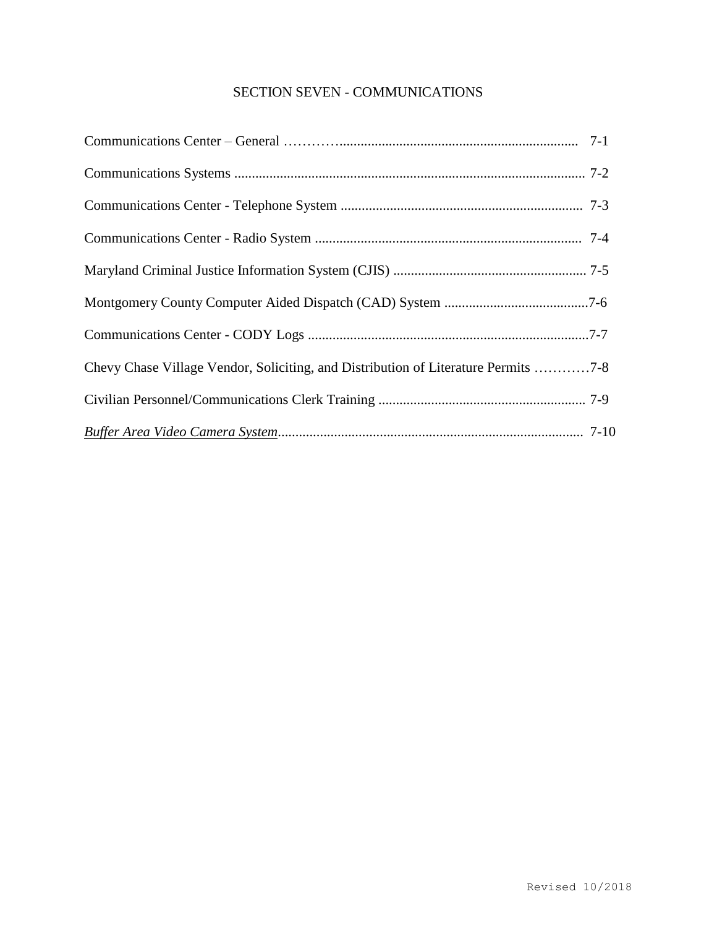## SECTION SEVEN - COMMUNICATIONS

| Chevy Chase Village Vendor, Soliciting, and Distribution of Literature Permits 7-8 |
|------------------------------------------------------------------------------------|
|                                                                                    |
|                                                                                    |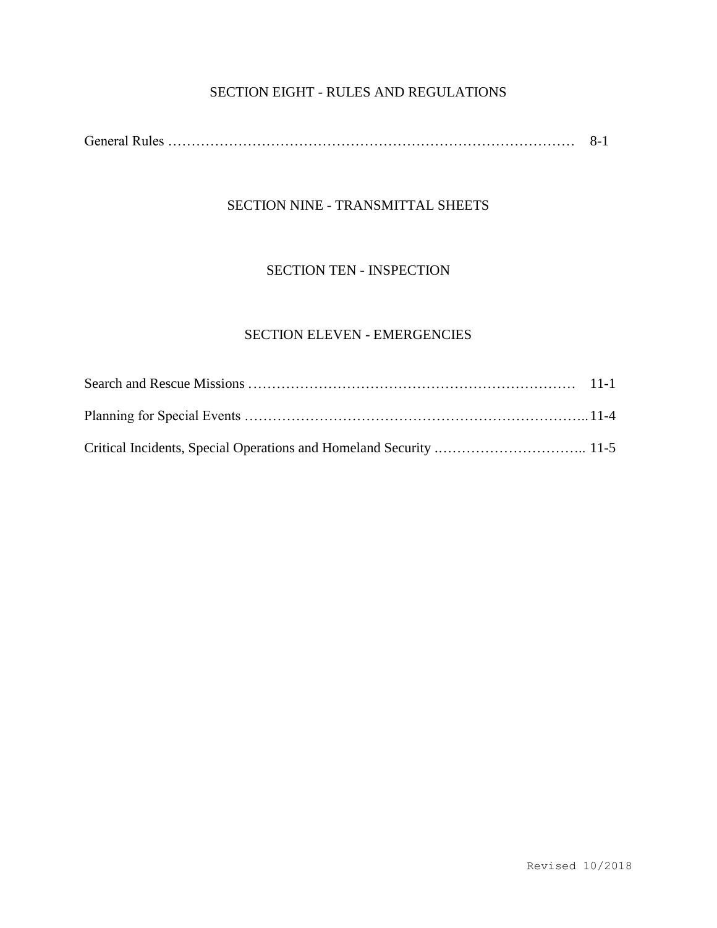# SECTION EIGHT - RULES AND REGULATIONS

|--|--|

## SECTION NINE - TRANSMITTAL SHEETS

### SECTION TEN - INSPECTION

# SECTION ELEVEN - EMERGENCIES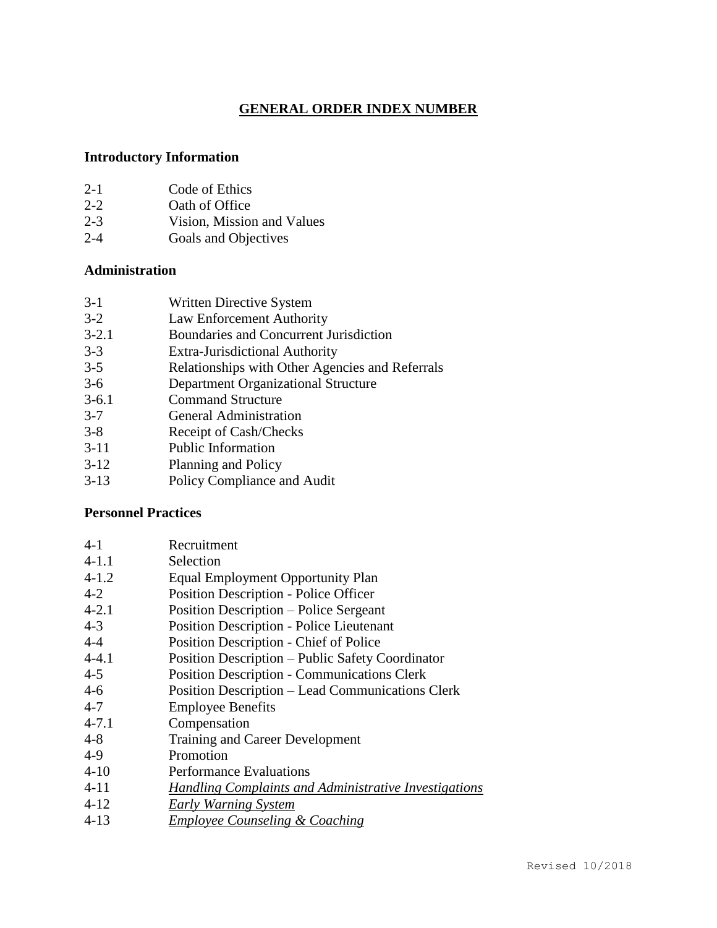## **GENERAL ORDER INDEX NUMBER**

## **Introductory Information**

| $2 - 1$ | Code of Ethics |
|---------|----------------|
| $2 - 2$ | Oath of Office |

- 2-3 Vision, Mission and Values
- 2-4 Goals and Objectives

#### **Administration**

- 3-1 Written Directive System
- 3-2 Law Enforcement Authority
- 3-2.1 Boundaries and Concurrent Jurisdiction
- 3-3 Extra-Jurisdictional Authority
- 3-5 Relationships with Other Agencies and Referrals<br>3-6 Department Organizational Structure
- Department Organizational Structure
- 3-6.1 Command Structure
- 3-7 General Administration
- 3-8 Receipt of Cash/Checks
- 3-11 Public Information
- 3-12 Planning and Policy
- 3-13 Policy Compliance and Audit

## **Personnel Practices**

| $4-1$     | Recruitment                                             |
|-----------|---------------------------------------------------------|
| $4 - 1.1$ | Selection                                               |
| $4 - 1.2$ | Equal Employment Opportunity Plan                       |
| $4 - 2$   | <b>Position Description - Police Officer</b>            |
| $4 - 2.1$ | Position Description – Police Sergeant                  |
| $4 - 3$   | <b>Position Description - Police Lieutenant</b>         |
| $4 - 4$   | Position Description - Chief of Police                  |
| $4 - 4.1$ | Position Description – Public Safety Coordinator        |
| $4 - 5$   | <b>Position Description - Communications Clerk</b>      |
| $4-6$     | <b>Position Description – Lead Communications Clerk</b> |
| $4 - 7$   | <b>Employee Benefits</b>                                |
| $4 - 7.1$ | Compensation                                            |
| $4 - 8$   | <b>Training and Career Development</b>                  |
| $4-9$     | Promotion                                               |
| $4 - 10$  | <b>Performance Evaluations</b>                          |
| $4 - 11$  | Handling Complaints and Administrative Investigations   |
| $4 - 12$  | <b>Early Warning System</b>                             |
| $4 - 13$  | <b>Employee Counseling &amp; Coaching</b>               |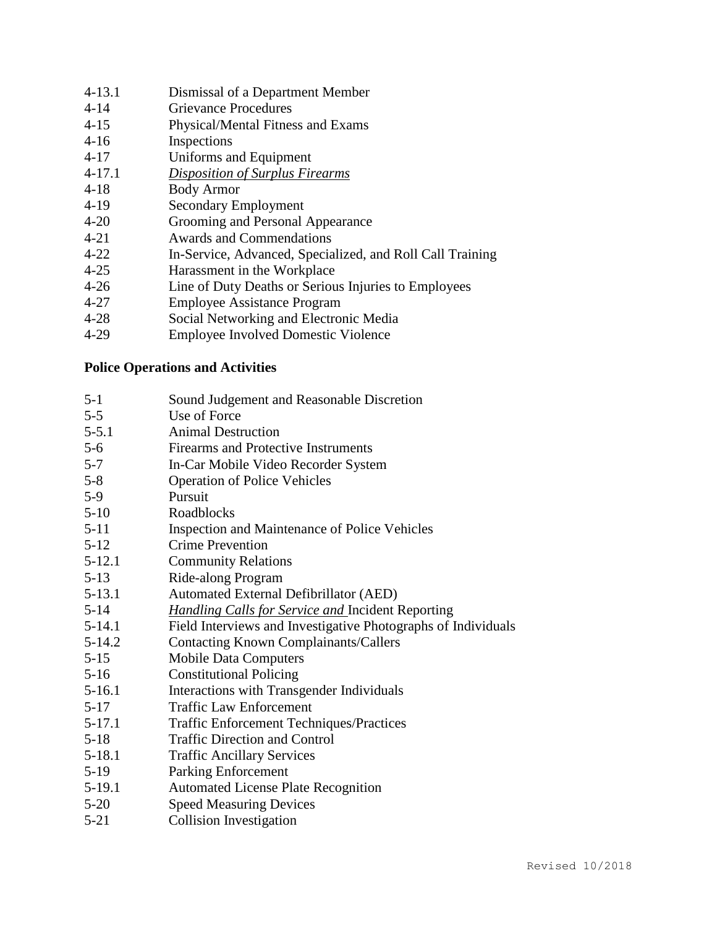| 4-13.1 | Dismissal of a Department Member |  |
|--------|----------------------------------|--|
|--------|----------------------------------|--|

- 4-14 Grievance Procedures
- 4-15 Physical/Mental Fitness and Exams
- 4-16 Inspections
- 4-17 Uniforms and Equipment
- 4-17.1 *Disposition of Surplus Firearms*
- 4-18 Body Armor
- 4-19 Secondary Employment
- 4-20 Grooming and Personal Appearance
- 4-21 Awards and Commendations
- 4-22 In-Service, Advanced, Specialized, and Roll Call Training
- 4-25 Harassment in the Workplace
- 4-26 Line of Duty Deaths or Serious Injuries to Employees
- 4-27 Employee Assistance Program
- 4-28 Social Networking and Electronic Media
- 4-29 Employee Involved Domestic Violence

## **Police Operations and Activities**

- 5-1 Sound Judgement and Reasonable Discretion 5-5 Use of Force 5-5.1 Animal Destruction 5-6 Firearms and Protective Instruments 5-7 In-Car Mobile Video Recorder System 5-8 Operation of Police Vehicles 5-9 Pursuit 5-10 Roadblocks 5-11 Inspection and Maintenance of Police Vehicles 5-12 Crime Prevention 5-12.1 Community Relations 5-13 Ride-along Program 5-13.1 Automated External Defibrillator (AED) 5-14 *Handling Calls for Service and* Incident Reporting 5-14.1 Field Interviews and Investigative Photographs of Individuals 5-14.2 Contacting Known Complainants/Callers 5-15 Mobile Data Computers 5-16 Constitutional Policing 5-16.1 Interactions with Transgender Individuals 5-17 Traffic Law Enforcement 5-17.1 Traffic Enforcement Techniques/Practices 5-18 Traffic Direction and Control 5-18.1 Traffic Ancillary Services 5-19 Parking Enforcement 5-19.1 Automated License Plate Recognition 5-20 Speed Measuring Devices
- 5-21 Collision Investigation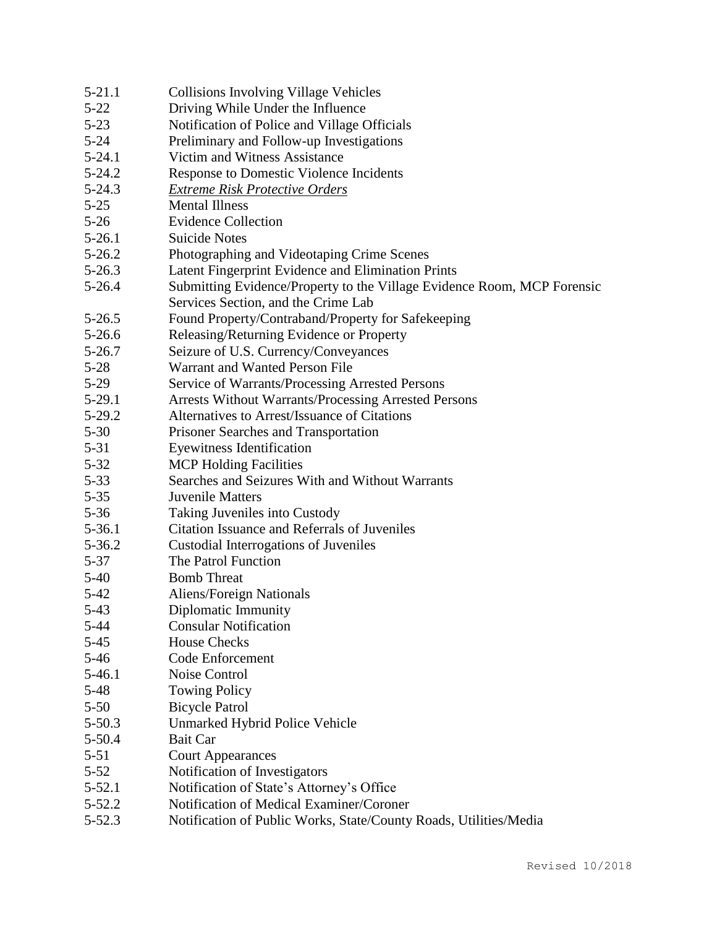| $5 - 21.1$ | <b>Collisions Involving Village Vehicles</b>                            |
|------------|-------------------------------------------------------------------------|
| $5 - 22$   | Driving While Under the Influence                                       |
| $5 - 23$   | Notification of Police and Village Officials                            |
| $5 - 24$   | Preliminary and Follow-up Investigations                                |
| $5 - 24.1$ | Victim and Witness Assistance                                           |
| $5 - 24.2$ | Response to Domestic Violence Incidents                                 |
| $5 - 24.3$ | <b>Extreme Risk Protective Orders</b>                                   |
| $5 - 25$   | <b>Mental Illness</b>                                                   |
| $5-26$     | <b>Evidence Collection</b>                                              |
| $5 - 26.1$ | <b>Suicide Notes</b>                                                    |
| $5 - 26.2$ | Photographing and Videotaping Crime Scenes                              |
| $5 - 26.3$ | Latent Fingerprint Evidence and Elimination Prints                      |
| $5 - 26.4$ | Submitting Evidence/Property to the Village Evidence Room, MCP Forensic |
|            | Services Section, and the Crime Lab                                     |
| $5-26.5$   | Found Property/Contraband/Property for Safekeeping                      |
| $5 - 26.6$ | Releasing/Returning Evidence or Property                                |
| $5 - 26.7$ | Seizure of U.S. Currency/Conveyances                                    |
| $5-28$     | Warrant and Wanted Person File                                          |
| $5-29$     | Service of Warrants/Processing Arrested Persons                         |
| $5-29.1$   | <b>Arrests Without Warrants/Processing Arrested Persons</b>             |
| $5 - 29.2$ | Alternatives to Arrest/Issuance of Citations                            |
| $5 - 30$   | Prisoner Searches and Transportation                                    |
| $5 - 31$   | <b>Eyewitness Identification</b>                                        |
| $5 - 32$   | <b>MCP</b> Holding Facilities                                           |
| $5 - 33$   | Searches and Seizures With and Without Warrants                         |
| $5 - 35$   | <b>Juvenile Matters</b>                                                 |
| $5 - 36$   | Taking Juveniles into Custody                                           |
| $5 - 36.1$ | Citation Issuance and Referrals of Juveniles                            |
| $5 - 36.2$ | Custodial Interrogations of Juveniles                                   |
| $5 - 37$   | The Patrol Function                                                     |
| $5-40$     | <b>Bomb</b> Threat                                                      |
| $5 - 42$   | Aliens/Foreign Nationals                                                |
| $5-43$     | Diplomatic Immunity                                                     |
| 5-44       | <b>Consular Notification</b>                                            |
| $5 - 45$   | <b>House Checks</b>                                                     |
| $5-46$     | Code Enforcement                                                        |
| $5-46.1$   | Noise Control                                                           |
| $5-48$     | <b>Towing Policy</b>                                                    |
| $5 - 50$   | <b>Bicycle Patrol</b>                                                   |
| $5 - 50.3$ | Unmarked Hybrid Police Vehicle                                          |
| $5 - 50.4$ | <b>Bait Car</b>                                                         |
| $5 - 51$   | <b>Court Appearances</b>                                                |
| $5 - 52$   | Notification of Investigators                                           |
| $5 - 52.1$ | Notification of State's Attorney's Office                               |
| $5 - 52.2$ | Notification of Medical Examiner/Coroner                                |
| $5 - 52.3$ | Notification of Public Works, State/County Roads, Utilities/Media       |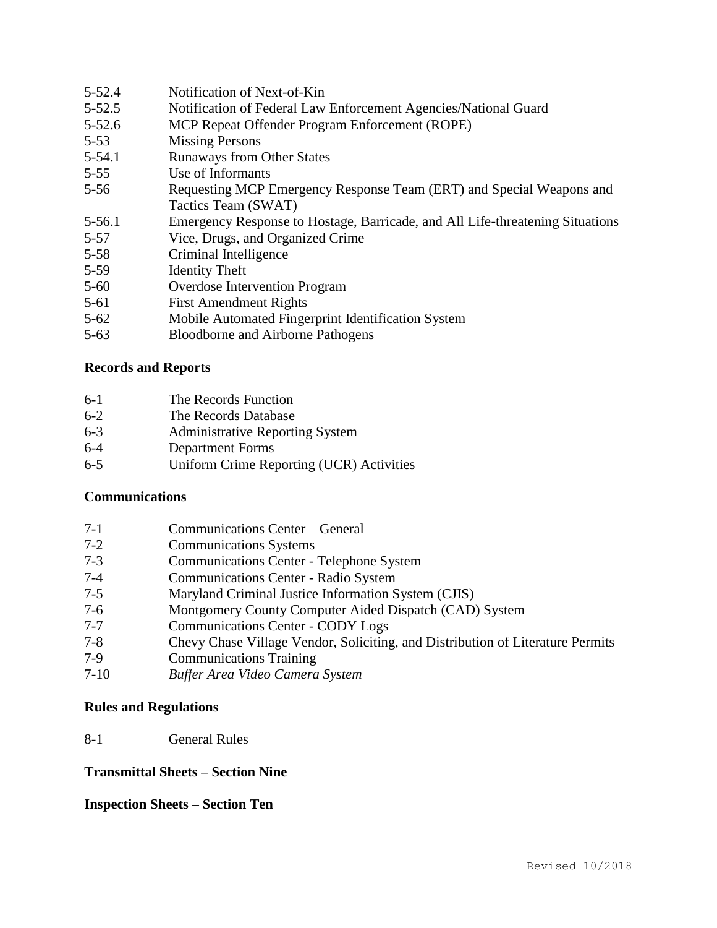- 5-52.5 Notification of Federal Law Enforcement Agencies/National Guard 5-52.6 MCP Repeat Offender Program Enforcement (ROPE) 5-53 Missing Persons 5-54.1 Runaways from Other States 5-55 Use of Informants 5-56 Requesting MCP Emergency Response Team (ERT) and Special Weapons and Tactics Team (SWAT) 5-56.1 Emergency Response to Hostage, Barricade, and All Life-threatening Situations 5-57 Vice, Drugs, and Organized Crime
- 5-58 Criminal Intelligence
- 5-59 Identity Theft
- 5-60 Overdose Intervention Program

5-52.4 Notification of Next-of-Kin

- 5-61 First Amendment Rights
- 5-62 Mobile Automated Fingerprint Identification System
- 5-63 Bloodborne and Airborne Pathogens

#### **Records and Reports**

| $6-1$ | The Records Function |
|-------|----------------------|
|-------|----------------------|

- 6-2 The Records Database
- 6-3 Administrative Reporting System
- 6-4 Department Forms
- 6-5 Uniform Crime Reporting (UCR) Activities

#### **Communications**

- 7-1 Communications Center General
- 7-2 Communications Systems
- 7-3 Communications Center Telephone System
- 7-4 Communications Center Radio System
- 7-5 Maryland Criminal Justice Information System (CJIS)
- 7-6 Montgomery County Computer Aided Dispatch (CAD) System
- 7-7 Communications Center CODY Logs
- 7-8 Chevy Chase Village Vendor, Soliciting, and Distribution of Literature Permits
- 7-9 Communications Training
- 7-10 *Buffer Area Video Camera System*

#### **Rules and Regulations**

#### 8-1 General Rules

## **Transmittal Sheets – Section Nine**

### **Inspection Sheets – Section Ten**